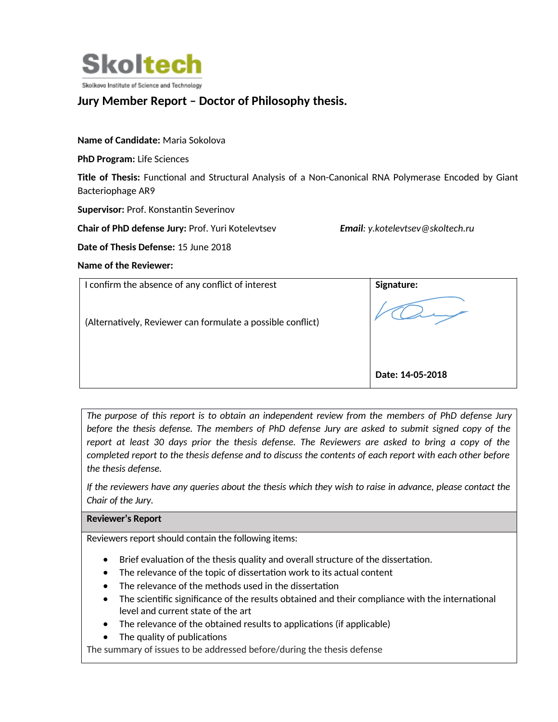

# **Jury Member Report – Doctor of Philosophy thesis.**

### **Name of Candidate:** Maria Sokolova

**PhD Program:** Life Sciences

**Title of Thesis:** Functional and Structural Analysis of a Non-Canonical RNA Polymerase Encoded by Giant Bacteriophage AR9

**Supervisor: Prof. Konstantin Severinov** 

**Chair of PhD defense Jury:** Prof. Yuri Kotelevtsev *Email: y.kotelevtsev@skoltech.ru*

**Date of Thesis Defense:** 15 June 2018

#### **Name of the Reviewer:**

| I confirm the absence of any conflict of interest           | Signature:       |
|-------------------------------------------------------------|------------------|
| (Alternatively, Reviewer can formulate a possible conflict) |                  |
|                                                             | Date: 14-05-2018 |

*The purpose of this report is to obtain an independent review from the members of PhD defense Jury before the thesis defense. The members of PhD defense Jury are asked to submit signed copy of the report at least 30 days prior the thesis defense. The Reviewers are asked to bring a copy of the completed report to the thesis defense and to discuss the contents of each report with each other before the thesis defense.* 

*If the reviewers have any queries about the thesis which they wish to raise in advance, please contact the Chair of the Jury.*

#### **Reviewer's Report**

Reviewers report should contain the following items:

- Brief evaluation of the thesis quality and overall structure of the dissertation.
- The relevance of the topic of dissertation work to its actual content
- The relevance of the methods used in the dissertation
- The scientific significance of the results obtained and their compliance with the international level and current state of the art
- $\bullet$  The relevance of the obtained results to applications (if applicable)
- The quality of publications

The summary of issues to be addressed before/during the thesis defense